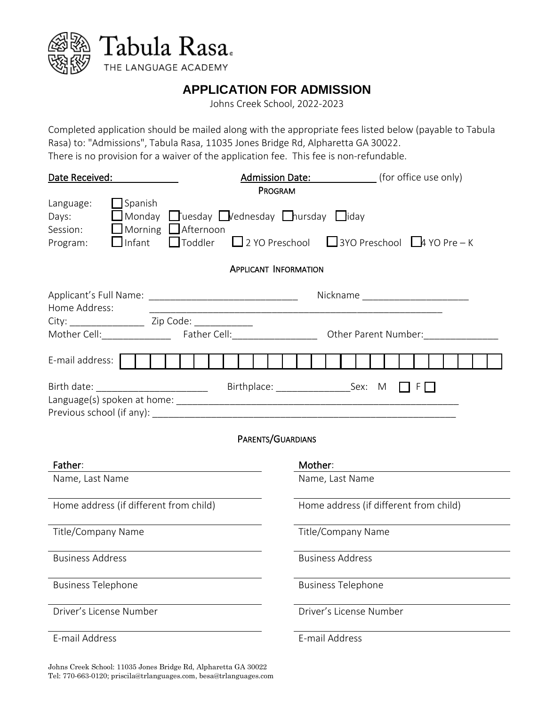



THE LANGUAGE ACADEMY

## **APPLICATION FOR ADMISSION**

Johns Creek School, 2022-2023

Completed application should be mailed along with the appropriate fees listed below (payable to Tabula Rasa) to: "Admissions", Tabula Rasa, 11035 Jones Bridge Rd, Alpharetta GA 30022. There is no provision for a waiver of the application fee. This fee is non-refundable.

| Date Received:                                                                |                                                                                                 | <b>Admission Date:</b> ________________ (for office use only)             |  |  |  |
|-------------------------------------------------------------------------------|-------------------------------------------------------------------------------------------------|---------------------------------------------------------------------------|--|--|--|
| Language:<br>$\Box$ Spanish<br>Days:<br>Session:<br>$\Box$ Infant<br>Program: | Monday Tuesday Vednesday Chursday Hiday<br>Morning Afternoon<br>$\Box$ Toddler                  | PROGRAM<br>$\Box$ 2 YO Preschool $\Box$ 3YO Preschool $\Box$ 4 YO Pre – K |  |  |  |
|                                                                               |                                                                                                 | <b>APPLICANT INFORMATION</b>                                              |  |  |  |
| Home Address:                                                                 |                                                                                                 | Nickname _________________________                                        |  |  |  |
|                                                                               | Mother Cell:________________________Father Cell:___________________________Other Parent Number: |                                                                           |  |  |  |
| E-mail address:                                                               |                                                                                                 |                                                                           |  |  |  |
|                                                                               |                                                                                                 | $F \Box$<br>PARENTS/GUARDIANS                                             |  |  |  |
| Father:                                                                       |                                                                                                 | Mother:                                                                   |  |  |  |
| Name, Last Name                                                               |                                                                                                 | Name, Last Name                                                           |  |  |  |
| Home address (if different from child)                                        |                                                                                                 | Home address (if different from child)                                    |  |  |  |
| Title/Company Name                                                            |                                                                                                 | Title/Company Name                                                        |  |  |  |
| <b>Business Address</b>                                                       |                                                                                                 | <b>Business Address</b>                                                   |  |  |  |
| <b>Business Telephone</b>                                                     |                                                                                                 | <b>Business Telephone</b>                                                 |  |  |  |
| Driver's License Number                                                       |                                                                                                 | Driver's License Number                                                   |  |  |  |
| E-mail Address                                                                |                                                                                                 | E-mail Address                                                            |  |  |  |

Johns Creek School: 11035 Jones Bridge Rd, Alpharetta GA 30022 Tel: 770-663-0120[; priscila@trlanguages.com,](mailto:priscila@trlanguages.com) besa@trlanguages.com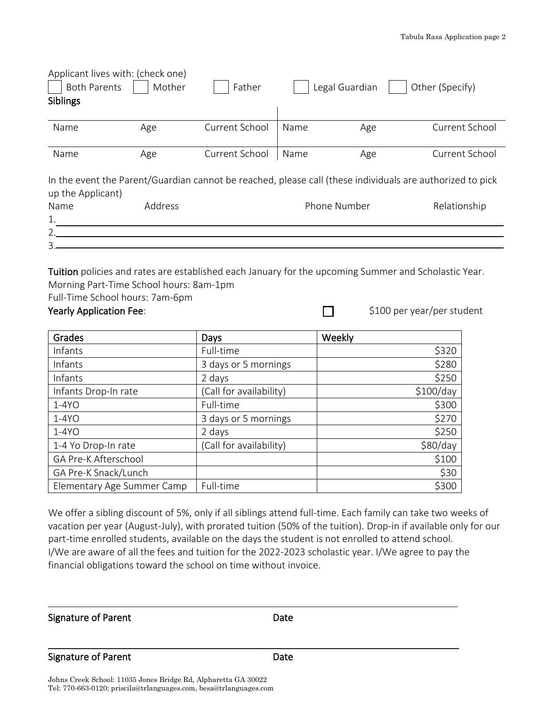| Applicant lives with: (check one)<br><b>Both Parents</b><br>Siblings                                                           | Mother  | Father         |      | Legal Guardian | Other (Specify) |  |
|--------------------------------------------------------------------------------------------------------------------------------|---------|----------------|------|----------------|-----------------|--|
| Name                                                                                                                           | Age     | Current School | Name | Age            | Current School  |  |
| Name                                                                                                                           | Age     | Current School | Name | Age            | Current School  |  |
| In the event the Parent/Guardian cannot be reached, please call (these individuals are authorized to pick<br>up the Applicant) |         |                |      |                |                 |  |
| Name                                                                                                                           | Address |                |      | Phone Number   | Relationship    |  |
| 1.                                                                                                                             |         |                |      |                |                 |  |
| 2.                                                                                                                             |         |                |      |                |                 |  |
| 3.                                                                                                                             |         |                |      |                |                 |  |
|                                                                                                                                |         |                |      |                |                 |  |

Tuition policies and rates are established each January for the upcoming Summer and Scholastic Year. Morning Part-Time School hours: 8am-1pm

Full-Time School hours: 7am-6pm

### Yearly Application Fee:  $\Box$  \$100 per year/per student

| Grades                     | Days                    | Weekly    |
|----------------------------|-------------------------|-----------|
| Infants                    | Full-time               | \$320     |
| Infants                    | 3 days or 5 mornings    | \$280     |
| Infants                    | 2 days                  | \$250     |
| Infants Drop-In rate       | (Call for availability) | \$100/day |
| $1-4YO$                    | Full-time               | \$300     |
| $1-4YO$                    | 3 days or 5 mornings    | \$270     |
| $1-4YO$                    | 2 days                  | \$250     |
| 1-4 Yo Drop-In rate        | (Call for availability) | \$80/day  |
| GA Pre-K Afterschool       |                         | \$100     |
| GA Pre-K Snack/Lunch       |                         | \$30      |
| Elementary Age Summer Camp | Full-time               | \$300     |

We offer a sibling discount of 5%, only if all siblings attend full-time. Each family can take two weeks of vacation per year (August-July), with prorated tuition (50% of the tuition). Drop-in if available only for our part-time enrolled students, available on the days the student is not enrolled to attend school. I/We are aware of all the fees and tuition for the 2022-2023 scholastic year. I/We agree to pay the financial obligations toward the school on time without invoice.

Signature of Parent **Date** 

L

#### Signature of Parent **Date**

\_\_\_\_\_\_\_\_\_\_\_\_\_\_\_\_\_\_\_\_\_\_\_\_\_\_\_\_\_\_\_\_\_\_\_\_\_\_\_\_\_\_\_\_\_\_\_\_\_\_\_\_\_\_\_\_\_\_\_\_\_\_\_\_\_\_\_\_\_\_\_\_\_\_\_\_\_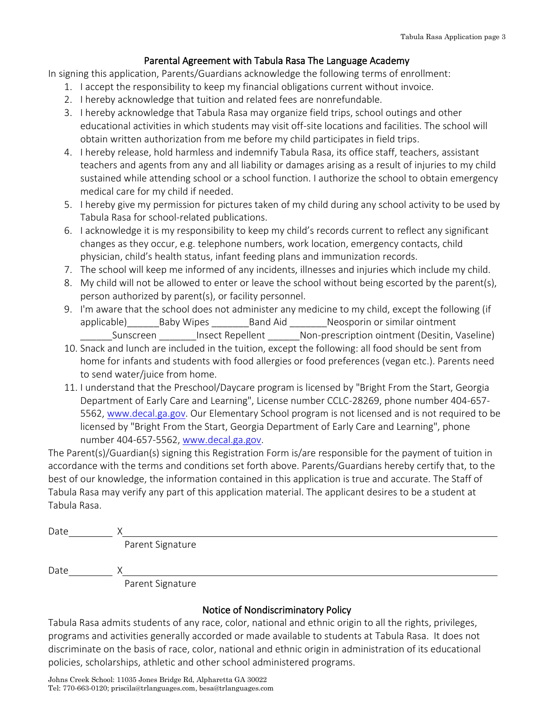### Parental Agreement with Tabula Rasa The Language Academy

In signing this application, Parents/Guardians acknowledge the following terms of enrollment:

- 1. I accept the responsibility to keep my financial obligations current without invoice.
- 2. I hereby acknowledge that tuition and related fees are nonrefundable.
- 3. I hereby acknowledge that Tabula Rasa may organize field trips, school outings and other educational activities in which students may visit off-site locations and facilities. The school will obtain written authorization from me before my child participates in field trips.
- 4. I hereby release, hold harmless and indemnify Tabula Rasa, its office staff, teachers, assistant teachers and agents from any and all liability or damages arising as a result of injuries to my child sustained while attending school or a school function. I authorize the school to obtain emergency medical care for my child if needed.
- 5. I hereby give my permission for pictures taken of my child during any school activity to be used by Tabula Rasa for school-related publications.
- 6. I acknowledge it is my responsibility to keep my child's records current to reflect any significant changes as they occur, e.g. telephone numbers, work location, emergency contacts, child physician, child's health status, infant feeding plans and immunization records.
- 7. The school will keep me informed of any incidents, illnesses and injuries which include my child.
- 8. My child will not be allowed to enter or leave the school without being escorted by the parent(s), person authorized by parent(s), or facility personnel.
- 9. I'm aware that the school does not administer any medicine to my child, except the following (if applicable) and Baby Wipes \_\_\_\_\_\_\_Band Aid \_\_\_\_\_\_\_\_Neosporin or similar ointment

Sunscreen lnsect Repellent Mon-prescription ointment (Desitin, Vaseline) 10. Snack and lunch are included in the tuition, except the following: all food should be sent from

- home for infants and students with food allergies or food preferences (vegan etc.). Parents need to send water/juice from home.
- 11. I understand that the Preschool/Daycare program is licensed by "Bright From the Start, Georgia Department of Early Care and Learning", License number CCLC-28269, phone number 404-657- 5562, [www.decal.ga.gov.](http://www.decal.ga.gov/) Our Elementary School program is not licensed and is not required to be licensed by "Bright From the Start, Georgia Department of Early Care and Learning", phone number 404-657-5562, [www.decal.ga.gov.](http://www.decal.ga.gov/)

The Parent(s)/Guardian(s) signing this Registration Form is/are responsible for the payment of tuition in accordance with the terms and conditions set forth above. Parents/Guardians hereby certify that, to the best of our knowledge, the information contained in this application is true and accurate. The Staff of Tabula Rasa may verify any part of this application material. The applicant desires to be a student at Tabula Rasa.

| Date |                                       |  |
|------|---------------------------------------|--|
|      | Parent Signature                      |  |
| Date |                                       |  |
|      | $D = 0.5$ and $D = 0.5$ and $D = 0.5$ |  |

Parent Signature

## Notice of Nondiscriminatory Policy

Tabula Rasa admits students of any race, color, national and ethnic origin to all the rights, privileges, programs and activities generally accorded or made available to students at Tabula Rasa. It does not discriminate on the basis of race, color, national and ethnic origin in administration of its educational policies, scholarships, athletic and other school administered programs.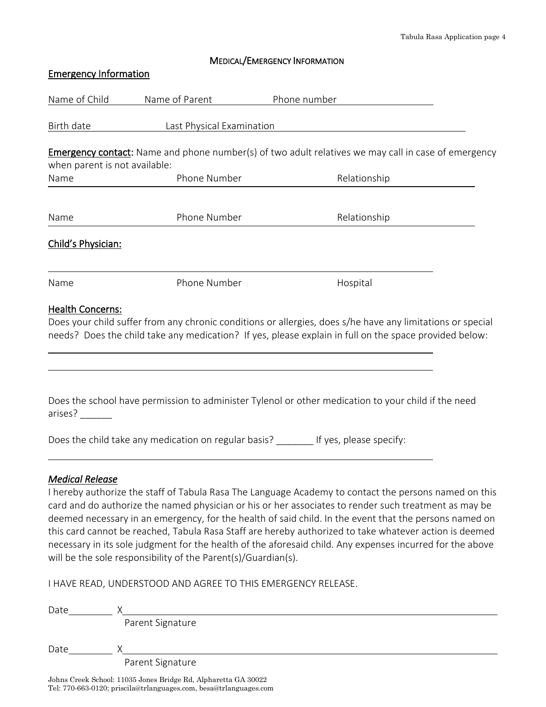#### MEDICAL/EMERGENCY INFORMATION

| <b>Emergency Information</b>  |                           |                                                                                                                                                                                                                                                                                                                          |
|-------------------------------|---------------------------|--------------------------------------------------------------------------------------------------------------------------------------------------------------------------------------------------------------------------------------------------------------------------------------------------------------------------|
| Name of Child                 | Name of Parent            | Phone number                                                                                                                                                                                                                                                                                                             |
| Birth date                    | Last Physical Examination |                                                                                                                                                                                                                                                                                                                          |
|                               |                           | <b>Emergency contact:</b> Name and phone number(s) of two adult relatives we may call in case of emergency                                                                                                                                                                                                               |
| when parent is not available: | Phone Number              |                                                                                                                                                                                                                                                                                                                          |
| Name                          |                           | Relationship                                                                                                                                                                                                                                                                                                             |
| Name                          | Phone Number              | Relationship                                                                                                                                                                                                                                                                                                             |
| Child's Physician:            |                           |                                                                                                                                                                                                                                                                                                                          |
| Name                          | Phone Number              | Hospital                                                                                                                                                                                                                                                                                                                 |
| <b>Health Concerns:</b>       |                           | Does your child suffer from any chronic conditions or allergies, does s/he have any limitations or special<br>needs? Does the child take any medication? If yes, please explain in full on the space provided below:                                                                                                     |
| arises?                       |                           | Does the school have permission to administer Tylenol or other medication to your child if the need                                                                                                                                                                                                                      |
|                               |                           | Does the child take any medication on regular basis? If yes, please specify:                                                                                                                                                                                                                                             |
| <b>Medical Release</b>        |                           | I hereby authorize the staff of Tabula Rasa The Language Academy to contact the persons named on this<br>card and do authorize the named physician or his or her associates to render such treatment as may be<br>deemed necessary in an emergency, for the health of said child. In the event that the persons named on |

this card cannot be reached, Tabula Rasa Staff are hereby authorized to take whatever action is deemed necessary in its sole judgment for the health of the aforesaid child. Any expenses incurred for the above will be the sole responsibility of the Parent(s)/Guardian(s).

I HAVE READ, UNDERSTOOD AND AGREE TO THIS EMERGENCY RELEASE.

| Date |                  |
|------|------------------|
|      | Parent Signature |
| Date |                  |
|      | Parent Signature |

Johns Creek School: 11035 Jones Bridge Rd, Alpharetta GA 30022 Tel: 770-663-0120[; priscila@trlanguages.com,](mailto:priscila@trlanguages.com) besa@trlanguages.com